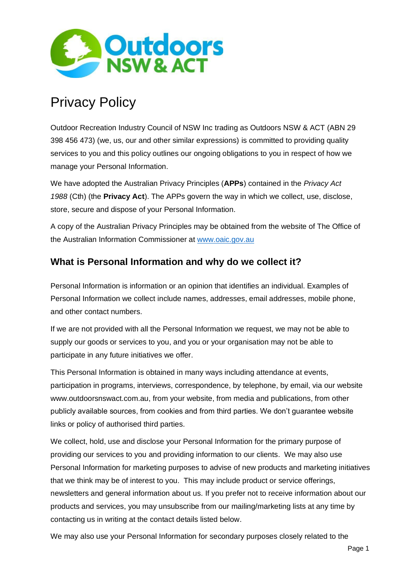

# Privacy Policy

Outdoor Recreation Industry Council of NSW Inc trading as Outdoors NSW & ACT (ABN 29 398 456 473) (we, us, our and other similar expressions) is committed to providing quality services to you and this policy outlines our ongoing obligations to you in respect of how we manage your Personal Information.

We have adopted the Australian Privacy Principles (**APPs**) contained in the *Privacy Act 1988* (Cth) (the **Privacy Act**). The APPs govern the way in which we collect, use, disclose, store, secure and dispose of your Personal Information.

A copy of the Australian Privacy Principles may be obtained from the website of The Office of the Australian Information Commissioner at [www.oaic.gov.au](http://www.oaic.gov.au/)

# **What is Personal Information and why do we collect it?**

Personal Information is information or an opinion that identifies an individual. Examples of Personal Information we collect include names, addresses, email addresses, mobile phone, and other contact numbers.

If we are not provided with all the Personal Information we request, we may not be able to supply our goods or services to you, and you or your organisation may not be able to participate in any future initiatives we offer.

This Personal Information is obtained in many ways including attendance at events, participation in programs, interviews, correspondence, by telephone, by email, via our website [www.outdoorsnswact.com.au, f](http://www.outdoorsnswact.com.au/)rom your website, from media and publications, from other publicly available sources, from cookies and from third parties. We don't guarantee website links or policy of authorised third parties.

We collect, hold, use and disclose your Personal Information for the primary purpose of providing our services to you and providing information to our clients. We may also use Personal Information for marketing purposes to advise of new products and marketing initiatives that we think may be of interest to you. This may include product or service offerings, newsletters and general information about us. If you prefer not to receive information about our products and services, you may unsubscribe from our mailing/marketing lists at any time by contacting us in writing at the contact details listed below.

We may also use your Personal Information for secondary purposes closely related to the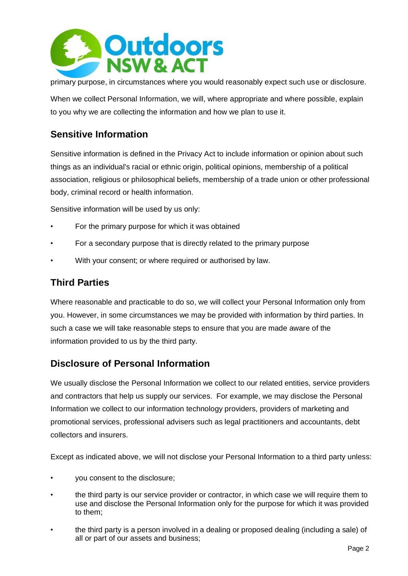

primary purpose, in circumstances where you would reasonably expect such use or disclosure.

When we collect Personal Information, we will, where appropriate and where possible, explain to you why we are collecting the information and how we plan to use it.

#### **Sensitive Information**

Sensitive information is defined in the Privacy Act to include information or opinion about such things as an individual's racial or ethnic origin, political opinions, membership of a political association, religious or philosophical beliefs, membership of a trade union or other professional body, criminal record or health information.

Sensitive information will be used by us only:

- For the primary purpose for which it was obtained
- For a secondary purpose that is directly related to the primary purpose
- With your consent; or where required or authorised by law.

#### **Third Parties**

Where reasonable and practicable to do so, we will collect your Personal Information only from you. However, in some circumstances we may be provided with information by third parties. In such a case we will take reasonable steps to ensure that you are made aware of the information provided to us by the third party.

### **Disclosure of Personal Information**

We usually disclose the Personal Information we collect to our related entities, service providers and contractors that help us supply our services. For example, we may disclose the Personal Information we collect to our information technology providers, providers of marketing and promotional services, professional advisers such as legal practitioners and accountants, debt collectors and insurers.

Except as indicated above, we will not disclose your Personal Information to a third party unless:

- you consent to the disclosure;
- the third party is our service provider or contractor, in which case we will require them to use and disclose the Personal Information only for the purpose for which it was provided to them;
- the third party is a person involved in a dealing or proposed dealing (including a sale) of all or part of our assets and business;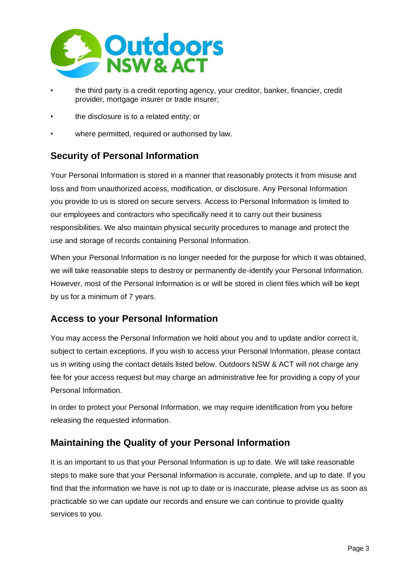

- the third party is a credit reporting agency, your creditor, banker, financier, credit provider, mortgage insurer or trade insurer;
- the disclosure is to a related entity; or
- where permitted, required or authorised by law.

# **Security of Personal Information**

Your Personal Information is stored in a manner that reasonably protects it from misuse and loss and from unauthorized access, modification, or disclosure. Any Personal Information you provide to us is stored on secure servers. Access to Personal Information is limited to our employees and contractors who specifically need it to carry out their business responsibilities. We also maintain physical security procedures to manage and protect the use and storage of records containing Personal Information.

When your Personal Information is no longer needed for the purpose for which it was obtained, we will take reasonable steps to destroy or permanently de-identify your Personal Information. However, most of the Personal Information is or will be stored in client files which will be kept by us for a minimum of 7 years.

### **Access to your Personal Information**

You may access the Personal Information we hold about you and to update and/or correct it, subject to certain exceptions. If you wish to access your Personal Information, please contact us in writing using the contact details listed below. Outdoors NSW & ACT will not charge any fee for your access request but may charge an administrative fee for providing a copy of your Personal Information.

In order to protect your Personal Information, we may require identification from you before releasing the requested information.

### **Maintaining the Quality of your Personal Information**

It is an important to us that your Personal Information is up to date. We will take reasonable steps to make sure that your Personal Information is accurate, complete, and up to date. If you find that the information we have is not up to date or is inaccurate, please advise us as soon as practicable so we can update our records and ensure we can continue to provide quality services to you.